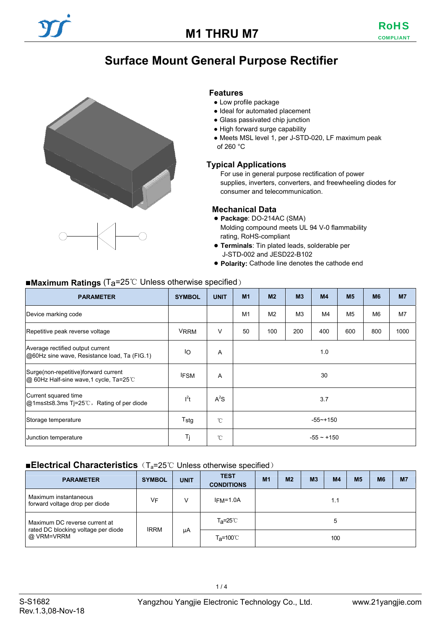# **Surface Mount General Purpose Rectifier**



#### **Features**

- Low profile package
- Ideal for automated placement
- Glass passivated chip junction
- High forward surge capability
- Meets MSL level 1, per J-STD-020, LF maximum peak of 260 °C

#### **Typical Applications**

For use in general purpose rectification of power supplies, inverters, converters, and freewheeling diodes for consumer and telecommunication.

#### **Mechanical Data**

- **Package**: DO-214AC (SMA) Molding compound meets UL 94 V-0 flammability rating, RoHS-compliant
- **Terminals**: Tin plated leads, solderable per J-STD-002 and JESD22-B102
- **Polarity:** Cathode line denotes the cathode end

#### ■**Maximum Ratings** (Ta=25℃ Unless otherwise specified)

| <b>PARAMETER</b>                                                                 | <b>SYMBOL</b>    | <b>UNIT</b>  | M <sub>1</sub>                        | M <sub>2</sub> | M <sub>3</sub> | M4   | M <sub>5</sub> | <b>M6</b>      | M <sub>7</sub> |
|----------------------------------------------------------------------------------|------------------|--------------|---------------------------------------|----------------|----------------|------|----------------|----------------|----------------|
| Device marking code                                                              |                  |              | M1                                    | M <sub>2</sub> | M <sub>3</sub> | M4   | M <sub>5</sub> | M <sub>6</sub> | M7             |
| Repetitive peak reverse voltage                                                  | <b>VRRM</b>      | $\vee$       | 200<br>50<br>100<br>400<br>600<br>800 |                |                | 1000 |                |                |                |
| Average rectified output current<br>@60Hz sine wave, Resistance load, Ta (FIG.1) | IO               | A            | 1.0                                   |                |                |      |                |                |                |
| Surge(non-repetitive) forward current<br>@ 60Hz Half-sine wave, 1 cycle, Ta=25°C | <b>IFSM</b>      | A            | 30                                    |                |                |      |                |                |                |
| Current squared time<br>$ @1ms≤t≤8.3ms$ Tj=25°C, Rating of per diode             | $l^2t$           | $A^2S$       | 3.7                                   |                |                |      |                |                |                |
| Storage temperature                                                              | T <sub>stg</sub> | $^{\circ}$ C | $-55 - + 150$                         |                |                |      |                |                |                |
| Junction temperature                                                             | Τj               | $^{\circ}$ C | $-55 - +150$                          |                |                |      |                |                |                |

### ■**Electrical Characteristics** (T<sub>a</sub>=25℃ Unless otherwise specified)

| <b>PARAMETER</b>                                                 | <b>SYMBOL</b> | <b>UNIT</b> | <b>TEST</b><br><b>CONDITIONS</b> | M <sub>1</sub> | M <sub>2</sub> | M <sub>3</sub> | <b>M4</b> | M <sub>5</sub> | <b>M6</b> | M <sub>7</sub> |
|------------------------------------------------------------------|---------------|-------------|----------------------------------|----------------|----------------|----------------|-----------|----------------|-----------|----------------|
| Maximum instantaneous<br>forward voltage drop per diode          | VF            | v           | $IFM=1.0A$                       |                |                |                | 1.1       |                |           |                |
| Maximum DC reverse current at                                    |               |             | $T_{\mathbf{a}} = 25^{\circ}C$   | 5              |                |                |           |                |           |                |
| <b>IRRM</b><br>rated DC blocking voltage per diode<br>@ VRM=VRRM |               | μA          | $T_{\mathsf{a}} = 100^{\circ}$   | 100            |                |                |           |                |           |                |

 $1/4$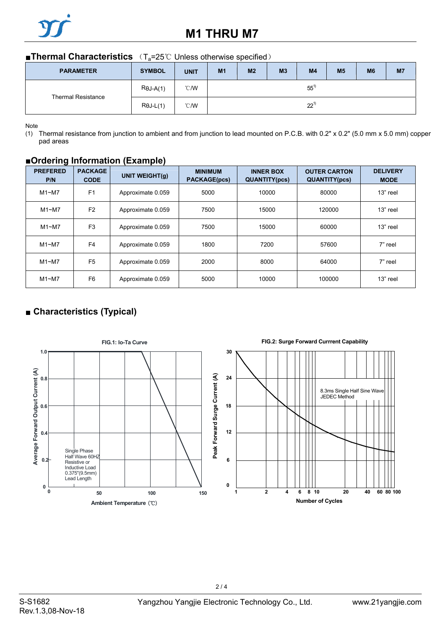

## **M1 THRU M7**

### ■**Thermal Characteristics** (T<sub>a</sub>=25℃ Unless otherwise specified)

| <b>PARAMETER</b>          | <b>SYMBOL</b>    | <b>UNIT</b>   | M <sub>1</sub> | M <sub>2</sub> | M <sub>3</sub> | M <sub>4</sub> | M <sub>5</sub> | M <sub>6</sub> | M7 |
|---------------------------|------------------|---------------|----------------|----------------|----------------|----------------|----------------|----------------|----|
| <b>Thermal Resistance</b> | $R\theta J-A(1)$ | $\degree$ C/W | $55^{1}$       |                |                |                |                |                |    |
|                           | $R\theta$ J-L(1) | $\degree$ C/W | $22^{1}$       |                |                |                |                |                |    |

Note

(1) Thermal resistance from junction to ambient and from junction to lead mounted on P.C.B. with 0.2" x 0.2" (5.0 mm x 5.0 mm) copper pad areas

### **■Ordering Information (Example)**

| <b>PREFERED</b><br>P/N | <b>PACKAGE</b><br><b>CODE</b> | <b>UNIT WEIGHT(g)</b> | <b>MINIMUM</b><br><b>PACKAGE(pcs)</b> | <b>INNER BOX</b><br><b>QUANTITY(pcs)</b> | <b>OUTER CARTON</b><br><b>QUANTITY(pcs)</b> | <b>DELIVERY</b><br><b>MODE</b> |
|------------------------|-------------------------------|-----------------------|---------------------------------------|------------------------------------------|---------------------------------------------|--------------------------------|
| M1~M                   | F <sub>1</sub>                | Approximate 0.059     | 5000                                  | 10000                                    | 80000                                       | 13" reel                       |
| M1~M                   | F <sub>2</sub>                | Approximate 0.059     | 7500                                  | 15000                                    | 120000                                      | 13" reel                       |
| M1~M                   | F <sub>3</sub>                | Approximate 0.059     | 7500                                  | 15000                                    | 60000                                       | 13" reel                       |
| M1~M                   | F <sub>4</sub>                | Approximate 0.059     | 1800                                  | 7200                                     | 57600                                       | 7" reel                        |
| M1~M                   | F <sub>5</sub>                | Approximate 0.059     | 2000                                  | 8000                                     | 64000                                       | 7" reel                        |
| M1~M                   | F <sub>6</sub>                | Approximate 0.059     | 5000                                  | 10000                                    | 100000                                      | 13" reel                       |

## ■ **Characteristics (Typical)**



 $2/4$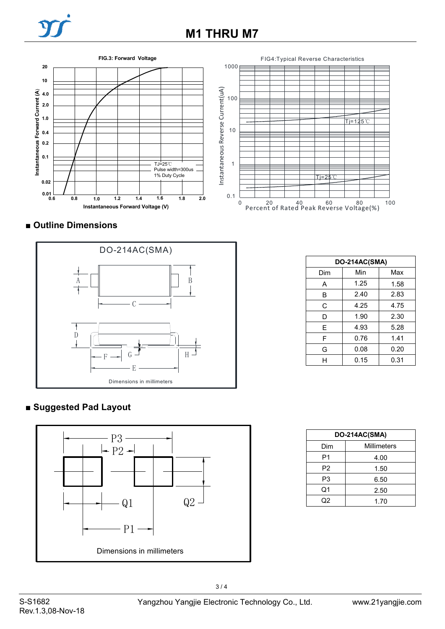# **M1 THRU M7**

**FIG.3: Forward Voltage**





## ■ **Outline Dimensions**



| DO-214AC(SMA) |      |      |  |  |  |  |
|---------------|------|------|--|--|--|--|
| Dim           | Min  | Max  |  |  |  |  |
| А             | 1.25 | 1.58 |  |  |  |  |
| B             | 2.40 | 2.83 |  |  |  |  |
| C             | 4.25 | 4.75 |  |  |  |  |
| D             | 1.90 | 2.30 |  |  |  |  |
| E             | 4.93 | 5.28 |  |  |  |  |
| F             | 0.76 | 1.41 |  |  |  |  |
| G             | 0.08 | 0.20 |  |  |  |  |
| н             | 0.15 | 0.31 |  |  |  |  |

## **■ Suggested Pad Layout**



| DO-214AC(SMA) |             |  |  |  |
|---------------|-------------|--|--|--|
| Dim           | Millimeters |  |  |  |
| P1            | 4.00        |  |  |  |
| P2            | 1.50        |  |  |  |
| P3            | 6.50        |  |  |  |
| Q1            | 2.50        |  |  |  |
| วว            | 1.70        |  |  |  |